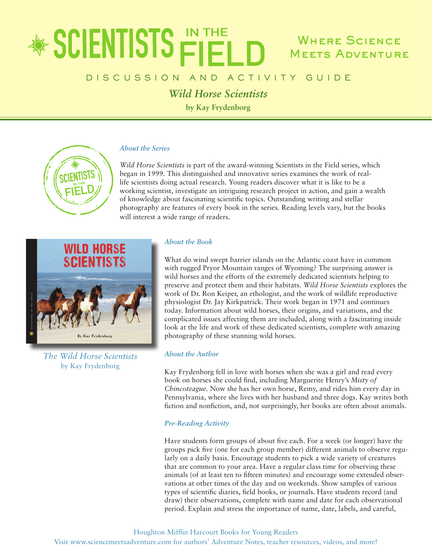# \* SCIENTISTS FIEL Where Science Meets Adventure

# DISCUSSION AND ACTIVITY GUIDE

*Wild Horse Scientists*

**by Kay Frydenborg**

# *About the Series*

*Wild Horse Scientists* is part of the award-winning Scientists in the Field series, which began in 1999. This distinguished and innovative series examines the work of reallife scientists doing actual research. Young readers discover what it is like to be a working scientist, investigate an intriguing research project in action, and gain a wealth of knowledge about fascinating scientific topics. Outstanding writing and stellar photography are features of every book in the series. Reading levels vary, but the books will interest a wide range of readers.



*The Wild Horse Scientists* by Kay Frydenborg

# *About the Book*

What do wind swept barrier islands on the Atlantic coast have in common with rugged Pryor Mountain ranges of Wyoming? The surprising answer is wild horses and the efforts of the extremely dedicated scientists helping to preserve and protect them and their habitats. *Wild Horse Scientists* explores the work of Dr. Ron Keiper, an ethologist, and the work of wildlife reproductive physiologist Dr. Jay Kirkpatrick. Their work began in 1971 and continues today. Information about wild horses, their origins, and variations, and the complicated issues affecting them are included, along with a fascinating inside look at the life and work of these dedicated scientists, complete with amazing photography of these stunning wild horses.

## *About the Author*

Kay Frydenborg fell in love with horses when she was a girl and read every book on horses she could find, including Marguerite Henry's *Misty of Chincoteague.* Now she has her own horse, Remy, and rides him every day in Pennsylvania, where she lives with her husband and three dogs. Kay writes both fiction and nonfiction, and, not surprisingly, her books are often about animals.

## *Pre-Reading Activity*

Have students form groups of about five each. For a week (or longer) have the groups pick five (one for each group member) different animals to observe regularly on a daily basis. Encourage students to pick a wide variety of creatures that are common to your area. Have a regular class time for observing these animals (of at least ten to fifteen minutes) and encourage some extended observations at other times of the day and on weekends. Show samples of various types of scientific diaries, field books, or journals. Have students record (and draw) their observations, complete with name and date for each observational period. Explain and stress the importance of name, date, labels, and careful,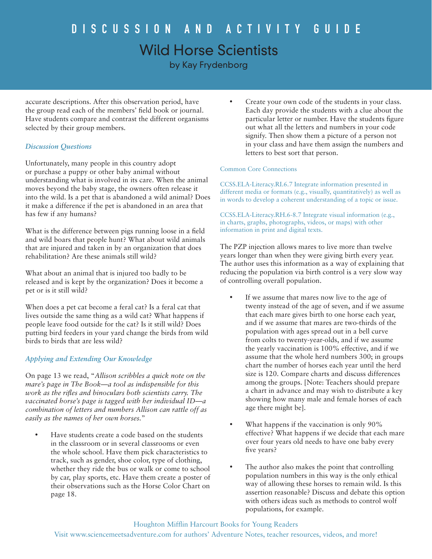# DISCUSSION AND ACTIVITY GUIDE Wild Horse Scientists

by Kay Frydenborg

accurate descriptions. After this observation period, have the group read each of the members' field book or journal. Have students compare and contrast the different organisms selected by their group members.

# *Discussion Questions*

Unfortunately, many people in this country adopt or purchase a puppy or other baby animal without understanding what is involved in its care. When the animal moves beyond the baby stage, the owners often release it into the wild. Is a pet that is abandoned a wild animal? Does it make a difference if the pet is abandoned in an area that has few if any humans?

What is the difference between pigs running loose in a field and wild boars that people hunt? What about wild animals that are injured and taken in by an organization that does rehabilitation? Are these animals still wild?

What about an animal that is injured too badly to be released and is kept by the organization? Does it become a pet or is it still wild?

When does a pet cat become a feral cat? Is a feral cat that lives outside the same thing as a wild cat? What happens if people leave food outside for the cat? Is it still wild? Does putting bird feeders in your yard change the birds from wild birds to birds that are less wild?

# *Applying and Extending Our Knowledge*

On page 13 we read, "*Allison scribbles a quick note on the mare's page in The Book—a tool as indispensible for this work as the rifles and binoculars both scientists carry. The vaccinated horse's page is tagged with her individual ID—a combination of letters and numbers Allison can rattle off as easily as the names of her own horses.*"

Have students create a code based on the students in the classroom or in several classrooms or even the whole school. Have them pick characteristics to track, such as gender, shoe color, type of clothing, whether they ride the bus or walk or come to school by car, play sports, etc. Have them create a poster of their observations such as the Horse Color Chart on page 18.

Create your own code of the students in your class. Each day provide the students with a clue about the particular letter or number. Have the students figure out what all the letters and numbers in your code signify. Then show them a picture of a person not in your class and have them assign the numbers and letters to best sort that person.

### Common Core Connections

CCSS.ELA-Literacy.RI.6.7 Integrate information presented in different media or formats (e.g., visually, quantitatively) as well as in words to develop a coherent understanding of a topic or issue.

CCSS.ELA-Literacy.RH.6-8.7 Integrate visual information (e.g., in charts, graphs, photographs, videos, or maps) with other information in print and digital texts.

The PZP injection allows mares to live more than twelve years longer than when they were giving birth every year. The author uses this information as a way of explaining that reducing the population via birth control is a very slow way of controlling overall population.

- If we assume that mares now live to the age of twenty instead of the age of seven, and if we assume that each mare gives birth to one horse each year, and if we assume that mares are two-thirds of the population with ages spread out in a bell curve from colts to twenty-year-olds, and if we assume the yearly vaccination is 100% effective, and if we assume that the whole herd numbers 300; in groups chart the number of horses each year until the herd size is 120. Compare charts and discuss differences among the groups. [Note: Teachers should prepare a chart in advance and may wish to distribute a key showing how many male and female horses of each age there might be].
- What happens if the vaccination is only 90% effective? What happens if we decide that each mare over four years old needs to have one baby every five years?
- The author also makes the point that controlling population numbers in this way is the only ethical way of allowing these horses to remain wild. Is this assertion reasonable? Discuss and debate this option with others ideas such as methods to control wolf populations, for example.